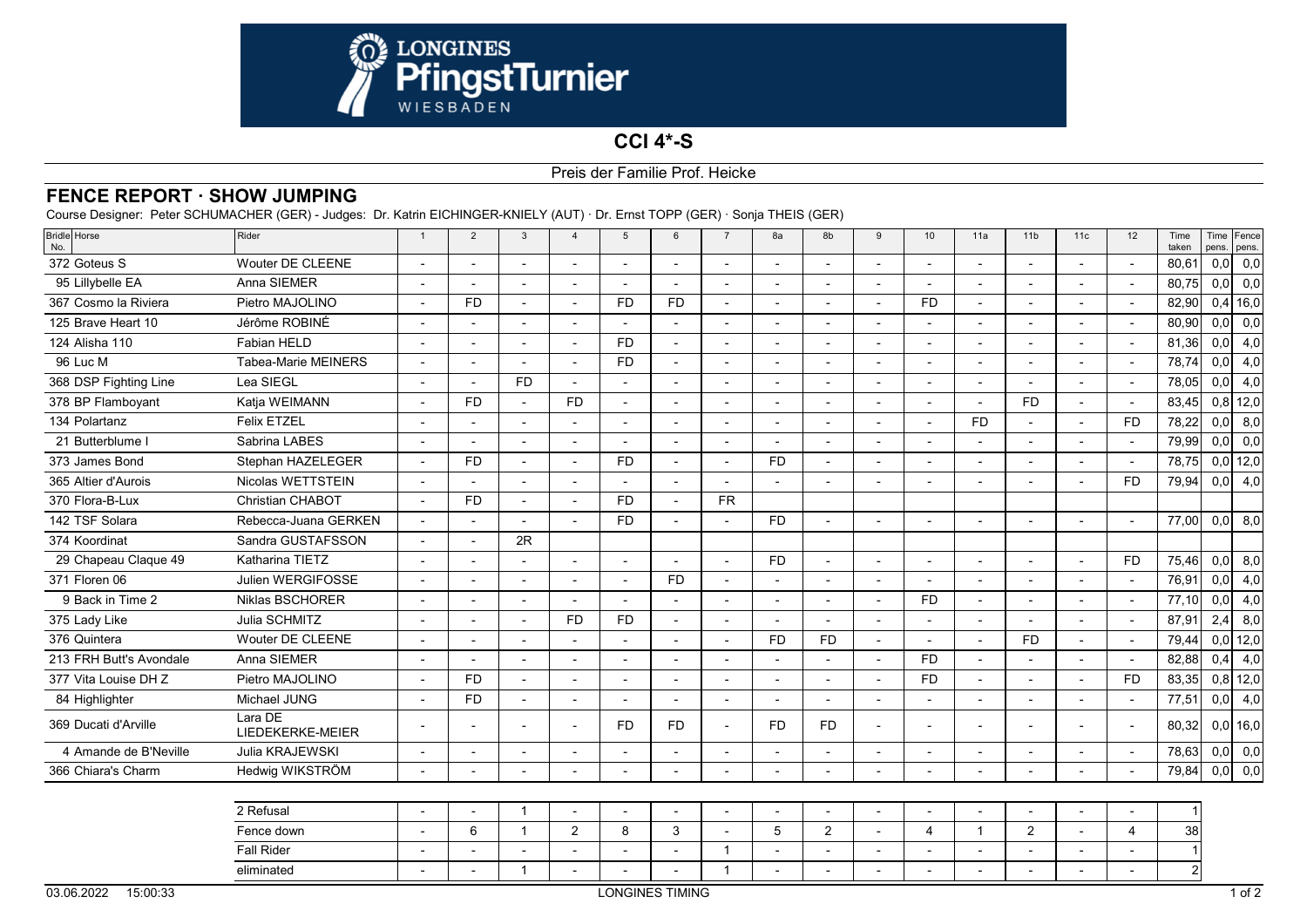

## **CCI 4\*-S**

## Preis der Familie Prof. Heicke

## **FENCE REPORT · SHOW JUMPING**

Course Designer: Peter SCHUMACHER (GER) - Judges: Dr. Katrin EICHINGER-KNIELY (AUT) · Dr. Ernst TOPP (GER) · Sonja THEIS (GER)

| <b>Bridle</b> Horse<br>No. | Rider                       | $\overline{1}$           | $\overline{2}$           | 3                        | $\overline{4}$ | 5              | $\epsilon$     | $\overline{7}$           | 8a                       | 8b                       | 9                        | 10                       | 11a                      | 11 <sub>b</sub> | 11c                      | 12                    | Time<br>taken |     | Time Fence<br>pens. pens. |
|----------------------------|-----------------------------|--------------------------|--------------------------|--------------------------|----------------|----------------|----------------|--------------------------|--------------------------|--------------------------|--------------------------|--------------------------|--------------------------|-----------------|--------------------------|-----------------------|---------------|-----|---------------------------|
| 372 Goteus S               | <b>Wouter DE CLEENE</b>     | $\blacksquare$           |                          |                          |                |                |                |                          |                          | L,                       |                          |                          |                          |                 |                          |                       | 80,61         | 0,0 | 0,0                       |
| 95 Lillybelle EA           | Anna SIEMER                 | $\overline{a}$           |                          |                          |                |                |                |                          |                          | $\overline{a}$           | $\overline{a}$           |                          |                          |                 |                          |                       | 80,75         | 0,0 | 0,0                       |
| 367 Cosmo la Riviera       | Pietro MAJOLINO             | $\blacksquare$           | <b>FD</b>                |                          |                | <b>FD</b>      | <b>FD</b>      | $\overline{a}$           |                          | $\overline{a}$           | $\overline{a}$           | <b>FD</b>                |                          |                 |                          |                       | 82,90         |     | $0,4$ 16,0                |
| 125 Brave Heart 10         | Jérôme ROBINÉ               |                          |                          |                          |                |                |                |                          |                          | $\overline{\phantom{a}}$ |                          |                          |                          |                 |                          |                       | 80,90         | 0,0 | 0,0                       |
| 124 Alisha 110             | Fabian HELD                 | $\overline{a}$           |                          |                          |                | <b>FD</b>      |                |                          |                          | $\overline{a}$           |                          | $\overline{a}$           |                          |                 |                          |                       | 81,36         | 0,0 | 4,0                       |
| 96 Luc M                   | <b>Tabea-Marie MEINERS</b>  | $\blacksquare$           |                          |                          |                | <b>FD</b>      |                |                          |                          | $\overline{\phantom{0}}$ |                          |                          |                          |                 |                          |                       | 78,74         | 0,0 | 4,0                       |
| 368 DSP Fighting Line      | Lea SIEGL                   | $\overline{a}$           | $\overline{\phantom{a}}$ | <b>FD</b>                |                |                |                |                          |                          | L,                       | $\overline{\phantom{a}}$ |                          |                          |                 |                          |                       | 78,05         | 0,0 | 4,0                       |
| 378 BP Flamboyant          | Katja WEIMANN               | $\overline{a}$           | <b>FD</b>                |                          | <b>FD</b>      |                |                |                          |                          | $\overline{a}$           | $\overline{\phantom{a}}$ | $\overline{a}$           |                          | <b>FD</b>       | $\overline{a}$           |                       | 83,45         |     | $0,8$ 12,0                |
| 134 Polartanz              | <b>Felix ETZEL</b>          | $\blacksquare$           |                          |                          |                |                |                | ÷                        |                          | $\overline{a}$           |                          |                          | <b>FD</b>                |                 |                          | <b>FD</b>             | 78,22         | 0,0 | 8,0                       |
| 21 Butterblume I           | Sabrina LABES               | ÷,                       |                          |                          |                |                |                |                          |                          | $\sim$                   | $\overline{\phantom{a}}$ |                          |                          |                 |                          |                       | 79,99         | 0,0 | 0,0                       |
| 373 James Bond             | Stephan HAZELEGER           | $\overline{a}$           | <b>FD</b>                |                          |                | <b>FD</b>      |                | $\overline{a}$           | FD.                      | $\overline{a}$           | $\overline{\phantom{a}}$ | $\overline{\phantom{a}}$ |                          |                 |                          |                       | 78,75         |     | $0,0$ 12,0                |
| 365 Altier d'Aurois        | Nicolas WETTSTEIN           |                          |                          |                          |                |                |                |                          |                          | $\overline{a}$           |                          |                          |                          |                 |                          | <b>FD</b>             | 79,94         | 0,0 | 4,0                       |
| 370 Flora-B-Lux            | Christian CHABOT            | $\blacksquare$           | <b>FD</b>                |                          |                | <b>FD</b>      |                | <b>FR</b>                |                          |                          |                          |                          |                          |                 |                          |                       |               |     |                           |
| 142 TSF Solara             | Rebecca-Juana GERKEN        | $\blacksquare$           | $\overline{a}$           | $\overline{a}$           |                | <b>FD</b>      | $\sim$         | $\overline{\phantom{0}}$ | FD.                      | $\blacksquare$           | $\blacksquare$           | $\blacksquare$           |                          |                 | $\overline{a}$           |                       | 77.00         | 0,0 | 8,0                       |
| 374 Koordinat              | Sandra GUSTAFSSON           | $\overline{a}$           |                          | 2R                       |                |                |                |                          |                          |                          |                          |                          |                          |                 |                          |                       |               |     |                           |
| 29 Chapeau Claque 49       | Katharina TIETZ             | $\overline{a}$           |                          |                          |                |                |                | $\overline{a}$           | <b>FD</b>                | $\overline{a}$           | $\overline{\phantom{a}}$ |                          |                          |                 |                          | <b>FD</b>             | 75,46         | 0,0 | 8,0                       |
| 371 Floren 06              | Julien WERGIFOSSE           | $\blacksquare$           | $\blacksquare$           | $\overline{\phantom{a}}$ |                | $\blacksquare$ | <b>FD</b>      | $\blacksquare$           | $\overline{\phantom{a}}$ | $\overline{\phantom{a}}$ | $\blacksquare$           | $\blacksquare$           | $\overline{\phantom{a}}$ |                 | $\blacksquare$           |                       | 76,91         | 0,0 | 4,0                       |
| 9 Back in Time 2           | Niklas BSCHORER             |                          |                          |                          |                |                |                | L,                       |                          | $\overline{a}$           |                          | <b>FD</b>                |                          |                 |                          |                       | 77,10         | 0,0 | 4,0                       |
| 375 Lady Like              | Julia SCHMITZ               | $\overline{a}$           |                          |                          | <b>FD</b>      | <b>FD</b>      |                |                          |                          | L,                       |                          |                          |                          |                 |                          |                       | 87,91         | 2,4 | 8,0                       |
| 376 Quintera               | Wouter DE CLEENE            | $\blacksquare$           | $\overline{\phantom{a}}$ | $\overline{a}$           |                | $\overline{a}$ | $\overline{a}$ | $\blacksquare$           | <b>FD</b>                | <b>FD</b>                | $\overline{\phantom{a}}$ | $\overline{\phantom{a}}$ | $\overline{a}$           | <b>FD</b>       | $\blacksquare$           | $\sim$                | 79,44         |     | $0,0$ 12,0                |
| 213 FRH Butt's Avondale    | Anna SIEMER                 |                          |                          |                          |                |                |                |                          |                          |                          |                          | <b>FD</b>                |                          |                 |                          |                       | 82,88         | 0,4 | 4,0                       |
| 377 Vita Louise DH Z       | Pietro MAJOLINO             | $\blacksquare$           | <b>FD</b>                |                          |                |                |                |                          |                          | $\overline{a}$           | $\overline{\phantom{a}}$ | <b>FD</b>                |                          |                 |                          | <b>FD</b>             | 83,35         |     | $0,8$ 12,0                |
| 84 Highlighter             | Michael JUNG                | $\blacksquare$           | <b>FD</b>                | $\overline{a}$           |                |                |                | $\blacksquare$           |                          | $\sim$                   | $\blacksquare$           | $\blacksquare$           | $\overline{\phantom{a}}$ |                 | $\overline{\phantom{a}}$ |                       | 77,51         | 0,0 | 4,0                       |
| 369 Ducati d'Arville       | Lara DE<br>LIEDEKERKE-MEIER | $\blacksquare$           |                          |                          |                | <b>FD</b>      | <b>FD</b>      | $\overline{a}$           | <b>FD</b>                | <b>FD</b>                | $\overline{\phantom{a}}$ |                          |                          |                 |                          |                       | 80,32         |     | $0,0$ 16,0                |
| 4 Amande de B'Neville      | Julia KRAJEWSKI             | $\overline{\phantom{a}}$ |                          |                          |                |                |                |                          |                          | $\overline{a}$           |                          |                          |                          |                 |                          |                       | 78,63         | 0,0 | 0,0                       |
| 366 Chiara's Charm         | Hedwig WIKSTRÖM             | $\overline{\phantom{a}}$ | $\overline{\phantom{a}}$ | $\overline{a}$           |                |                |                | $\overline{a}$           |                          | $\blacksquare$           | $\overline{\phantom{a}}$ | $\overline{\phantom{a}}$ | $\overline{\phantom{a}}$ |                 |                          |                       | 79,84         | 0,0 | 0,0                       |
|                            |                             |                          |                          |                          |                |                |                |                          |                          |                          |                          |                          |                          |                 |                          |                       |               |     |                           |
|                            | 2 Refusal                   |                          |                          | -1                       |                |                |                |                          |                          |                          |                          |                          |                          |                 |                          |                       |               |     |                           |
|                            | Fence down                  | $\blacksquare$           | $6\phantom{1}$           | -1                       | $\overline{2}$ | 8              | 3              |                          | 5                        | $\overline{2}$           |                          | $\overline{\mathcal{A}}$ | -1                       | $\overline{2}$  |                          | $\boldsymbol{\Delta}$ | 38            |     |                           |
|                            | <b>Fall Rider</b>           |                          |                          |                          |                |                |                |                          |                          |                          |                          |                          |                          |                 |                          |                       |               |     |                           |

eliminated

- - <sup>1</sup> - - - <sup>1</sup> - - - - - - - - <sup>2</sup>